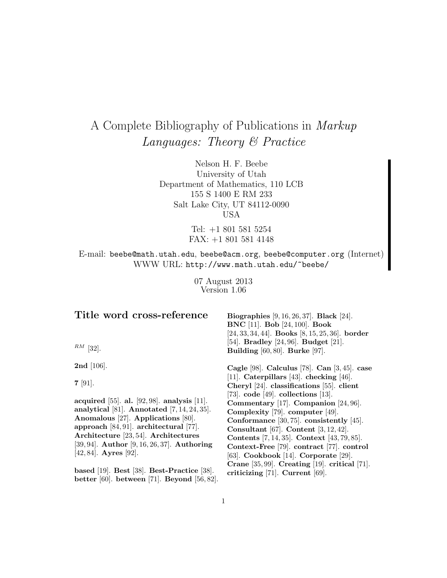# A Complete Bibliography of Publications in Markup Languages: Theory & Practice

Nelson H. F. Beebe University of Utah Department of Mathematics, 110 LCB 155 S 1400 E RM 233 Salt Lake City, UT 84112-0090 USA

> Tel: +1 801 581 5254 FAX: +1 801 581 4148

E-mail: beebe@math.utah.edu, beebe@acm.org, beebe@computer.org (Internet) WWW URL: http://www.math.utah.edu/~beebe/

> 07 August 2013 Version 1.06

| Title word cross-reference<br>$^{RM}$ [32].                                                                                                                                                                                                                                                                               | <b>Biographies</b> [9, 16, 26, 37]. <b>Black</b> [24].<br><b>BNC</b> [11]. <b>Bob</b> [24, 100]. <b>Book</b><br>$[24, 33, 34, 44]$ . Books $[8, 15, 25, 36]$ . border<br>[54]. Bradley $[24, 96]$ . Budget $[21]$ .<br>Building $[60, 80]$ . Burke $[97]$ .                                                                                                                                                                                     |
|---------------------------------------------------------------------------------------------------------------------------------------------------------------------------------------------------------------------------------------------------------------------------------------------------------------------------|-------------------------------------------------------------------------------------------------------------------------------------------------------------------------------------------------------------------------------------------------------------------------------------------------------------------------------------------------------------------------------------------------------------------------------------------------|
| <b>2nd</b> [106].                                                                                                                                                                                                                                                                                                         | Cagle [98]. Calculus [78]. Can $[3, 45]$ . case                                                                                                                                                                                                                                                                                                                                                                                                 |
| $7 \,[91]$ .<br>acquired [55]. al. [92, 98]. analysis [11].<br>analytical [81]. Annotated $[7, 14, 24, 35]$ .<br>Anomalous [27]. Applications [80].<br>approach $[84, 91]$ . architectural $[77]$ .<br>Architecture [23, 54]. Architectures<br>[39, 94]. Author [9, 16, 26, 37]. Authoring<br>$[42, 84]$ . Ayres $[92]$ . | [11]. Caterpillars [43]. checking [46].<br>Cheryl [24]. classifications [55]. client<br>[73]. $code$ [49]. collections [13].<br>Commentary $[17]$ . Companion $[24, 96]$ .<br>Complexity [79]. computer [49].<br>Conformance $[30, 75]$ . consistently $[45]$ .<br>Consultant [67]. Content $[3, 12, 42]$ .<br>Contents [7, 14, 35]. Context [43, 79, 85].<br>Context-Free [79]. contract [77]. control<br>[63]. Cookbook [14]. Corporate [29]. |
| based [19]. Best [38]. Best-Practice [38].<br>better [60]. between [71]. Beyond [56, 82].                                                                                                                                                                                                                                 | Crane $[35, 99]$ . Creating $[19]$ . critical $[71]$ .<br>criticizing $[71]$ . Current $[69]$ .                                                                                                                                                                                                                                                                                                                                                 |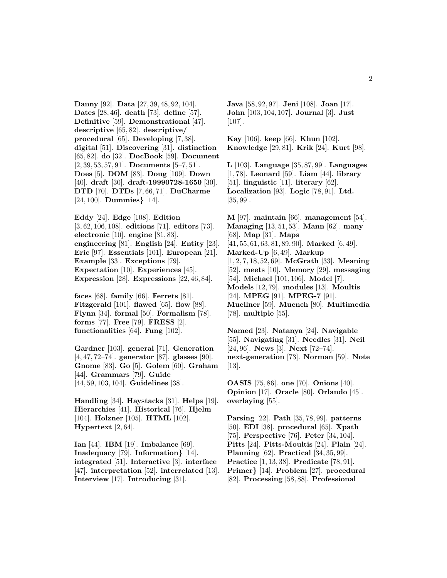**Danny** [92]. **Data** [27, 39, 48, 92, 104]. **Dates** [28, 46]. **death** [73]. **define** [57]. **Definitive** [59]. **Demonstrational** [47]. **descriptive** [65, 82]. **descriptive/ procedural** [65]. **Developing** [7, 38]. **digital** [51]. **Discovering** [31]. **distinction** [65, 82]. **do** [32]. **DocBook** [59]. **Document** [2, 39, 53, 57, 91]. **Documents** [5–7, 51]. **Does** [5]. **DOM** [83]. **Doug** [109]. **Down** [40]. **draft** [30]. **draft-19990728-1650** [30]. **DTD** [70]. **DTDs** [7, 66, 71]. **DuCharme** [24, 100]. **Dummies***}* [14].

**Eddy** [24]. **Edge** [108]. **Edition** [3, 62, 106, 108]. **editions** [71]. **editors** [73]. **electronic** [10]. **engine** [81, 83]. **engineering** [81]. **English** [24]. **Entity** [23]. **Eric** [97]. **Essentials** [101]. **European** [21]. **Example** [33]. **Exceptions** [79]. **Expectation** [10]. **Experiences** [45]. **Expression** [28]. **Expressions** [22, 46, 84].

**faces** [68]. **family** [66]. **Ferrets** [81]. **Fitzgerald** [101]. **flawed** [65]. **flow** [88]. **Flynn** [34]. **formal** [50]. **Formalism** [78]. **forms** [77]. **Free** [79]. **FRESS** [2]. **functionalities** [64]. **Fung** [102].

**Gardner** [103]. **general** [71]. **Generation** [4, 47, 72–74]. **generator** [87]. **glasses** [90]. **Gnome** [83]. **Go** [5]. **Golem** [60]. **Graham** [44]. **Grammars** [79]. **Guide** [44, 59, 103, 104]. **Guidelines** [38].

**Handling** [34]. **Haystacks** [31]. **Helps** [19]. **Hierarchies** [41]. **Historical** [76]. **Hjelm** [104]. **Holzner** [105]. **HTML** [102]. **Hypertext** [2, 64].

**Ian** [44]. **IBM** [19]. **Imbalance** [69]. **Inadequacy** [79]. **Information***}* [14]. **integrated** [51]. **Interactive** [3]. **interface** [47]. **interpretation** [52]. **interrelated** [13]. **Interview** [17]. **Introducing** [31].

**Java** [58, 92, 97]. **Jeni** [108]. **Joan** [17]. **John** [103, 104, 107]. **Journal** [3]. **Just** [107].

**Kay** [106]. **keep** [66]. **Khun** [102]. **Knowledge** [29, 81]. **Krik** [24]. **Kurt** [98].

**L** [103]. **Language** [35, 87, 99]. **Languages** [1, 78]. **Leonard** [59]. **Liam** [44]. **library** [51]. **linguistic** [11]. **literary** [62]. **Localization** [93]. **Logic** [78, 91]. **Ltd.** [35, 99].

**M** [97]. **maintain** [66]. **management** [54]. **Managing** [13, 51, 53]. **Mann** [62]. **many** [68]. **Map** [31]. **Maps** [41, 55, 61, 63, 81, 89, 90]. **Marked** [6, 49]. **Marked-Up** [6, 49]. **Markup** [1, 2, 7, 18, 52, 69]. **McGrath** [33]. **Meaning** [52]. **meets** [10]. **Memory** [29]. **messaging** [54]. **Michael** [101, 106]. **Model** [7]. **Models** [12, 79]. **modules** [13]. **Moultis** [24]. **MPEG** [91]. **MPEG-7** [91]. **Muellner** [59]. **Muench** [80]. **Multimedia** [78]. **multiple** [55].

**Named** [23]. **Natanya** [24]. **Navigable** [55]. **Navigating** [31]. **Needles** [31]. **Neil** [24, 96]. **News** [3]. **Next** [72–74]. **next-generation** [73]. **Norman** [59]. **Note** [13].

**OASIS** [75, 86]. **one** [70]. **Onions** [40]. **Opinion** [17]. **Oracle** [80]. **Orlando** [45]. **overlaying** [55].

**Parsing** [22]. **Path** [35, 78, 99]. **patterns** [50]. **EDI** [38]. **procedural** [65]. **Xpath** [75]. **Perspective** [76]. **Peter** [34, 104]. **Pitts** [24]. **Pitts-Moultis** [24]. **Plain** [24]. **Planning** [62]. **Practical** [34, 35, 99]. **Practice** [1, 13, 38]. **Predicate** [78, 91]. **Primer***}* [14]. **Problem** [27]. **procedural** [82]. **Processing** [58, 88]. **Professional**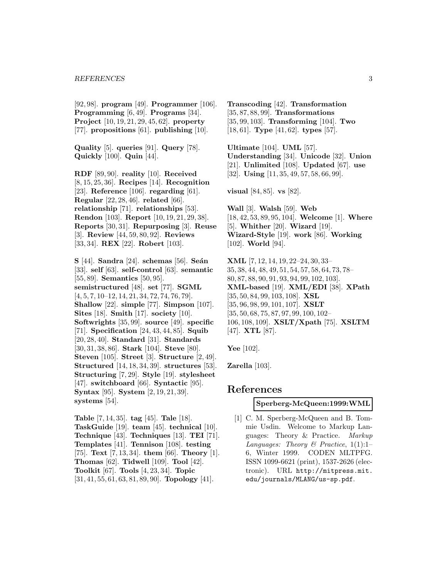[92, 98]. **program** [49]. **Programmer** [106]. **Programming** [6, 49]. **Programs** [34]. **Project** [10, 19, 21, 29, 45, 62]. **property** [77]. **propositions** [61]. **publishing** [10].

**Quality** [5]. **queries** [91]. **Query** [78]. **Quickly** [100]. **Quin** [44].

**RDF** [89, 90]. **reality** [10]. **Received** [8, 15, 25, 36]. **Recipes** [14]. **Recognition** [23]. **Reference** [106]. **regarding** [61]. **Regular** [22, 28, 46]. **related** [66]. **relationship** [71]. **relationships** [53]. **Rendon** [103]. **Report** [10, 19, 21, 29, 38]. **Reports** [30, 31]. **Repurposing** [3]. **Reuse** [3]. **Review** [44, 59, 80, 92]. **Reviews** [33, 34]. **REX** [22]. **Robert** [103].

**S** [44]. **Sandra** [24]. **schemas** [56]. **Seán** [33]. **self** [63]. **self-control** [63]. **semantic** [55, 89]. **Semantics** [50, 95]. **semistructured** [48]. **set** [77]. **SGML** [4, 5, 7, 10–12, 14, 21, 34, 72, 74, 76, 79]. **Shallow** [22]. **simple** [77]. **Simpson** [107]. **Sites** [18]. **Smith** [17]. **society** [10]. **Softwrights** [35, 99]. **source** [49]. **specific** [71]. **Specification** [24, 43, 44, 85]. **Squib** [20, 28, 40]. **Standard** [31]. **Standards** [30, 31, 38, 86]. **Stark** [104]. **Steve** [80]. **Steven** [105]. **Street** [3]. **Structure** [2, 49]. **Structured** [14, 18, 34, 39]. **structures** [53]. **Structuring** [7, 29]. **Style** [19]. **stylesheet** [47]. **switchboard** [66]. **Syntactic** [95]. **Syntax** [95]. **System** [2, 19, 21, 39]. **systems** [54].

**Table** [7, 14, 35]. **tag** [45]. **Tale** [18]. **TaskGuide** [19]. **team** [45]. **technical** [10]. **Technique** [43]. **Techniques** [13]. **TEI** [71]. **Templates** [41]. **Tennison** [108]. **testing** [75]. **Text** [7, 13, 34]. **them** [66]. **Theory** [1]. **Thomas** [62]. **Tidwell** [109]. **Tool** [42]. **Toolkit** [67]. **Tools** [4, 23, 34]. **Topic** [31, 41, 55, 61, 63, 81, 89, 90]. **Topology** [41].

**Transcoding** [42]. **Transformation** [35, 87, 88, 99]. **Transformations** [35, 99, 103]. **Transforming** [104]. **Two** [18, 61]. **Type** [41, 62]. **types** [57].

**Ultimate** [104]. **UML** [57]. **Understanding** [34]. **Unicode** [32]. **Union** [21]. **Unlimited** [108]. **Updated** [67]. **use** [32]. **Using** [11, 35, 49, 57, 58, 66, 99].

**visual** [84, 85]. **vs** [82].

**Wall** [3]. **Walsh** [59]. **Web** [18, 42, 53, 89, 95, 104]. **Welcome** [1]. **Where** [5]. **Whither** [20]. **Wizard** [19]. **Wizard-Style** [19]. **work** [86]. **Working** [102]. **World** [94].

**XML** [7, 12, 14, 19, 22–24, 30, 33– 35, 38, 44, 48, 49, 51, 54, 57, 58, 64, 73, 78– 80, 87, 88, 90, 91, 93, 94, 99, 102, 103]. **XML-based** [19]. **XML/EDI** [38]. **XPath** [35, 50, 84, 99, 103, 108]. **XSL** [35, 96, 98, 99, 101, 107]. **XSLT** [35, 50, 68, 75, 87, 97, 99, 100, 102– 106, 108, 109]. **XSLT/Xpath** [75]. **XSLTM** [47]. **XTL** [87].

**Yee** [102].

**Zarella** [103].

# **References**

#### **Sperberg-McQueen:1999:WML**

[1] C. M. Sperberg-McQueen and B. Tommie Usdin. Welcome to Markup Languages: Theory & Practice. Markup Languages: Theory & Practice,  $1(1):1$ – 6, Winter 1999. CODEN MLTPFG. ISSN 1099-6621 (print), 1537-2626 (electronic). URL http://mitpress.mit. edu/journals/MLANG/us-sp.pdf.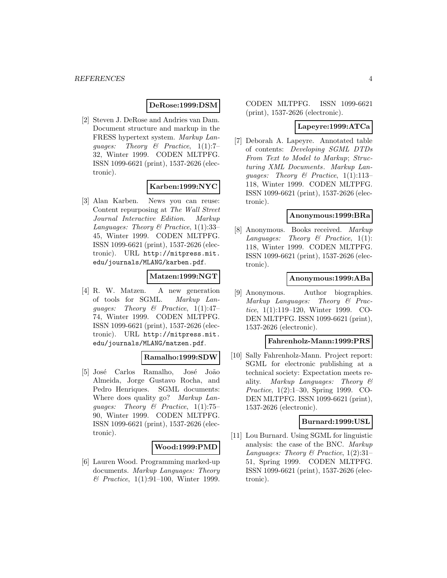## **DeRose:1999:DSM**

[2] Steven J. DeRose and Andries van Dam. Document structure and markup in the FRESS hypertext system. Markup Lanquages: Theory  $\mathcal{B}$  Practice, 1(1):7-32, Winter 1999. CODEN MLTPFG. ISSN 1099-6621 (print), 1537-2626 (electronic).

## **Karben:1999:NYC**

[3] Alan Karben. News you can reuse: Content repurposing at The Wall Street Journal Interactive Edition. Markup Languages: Theory & Practice,  $1(1):33-$ 45, Winter 1999. CODEN MLTPFG. ISSN 1099-6621 (print), 1537-2626 (electronic). URL http://mitpress.mit. edu/journals/MLANG/karben.pdf.

# **Matzen:1999:NGT**

[4] R. W. Matzen. A new generation of tools for SGML. Markup Languages: Theory & Practice,  $1(1):47-$ 74, Winter 1999. CODEN MLTPFG. ISSN 1099-6621 (print), 1537-2626 (electronic). URL http://mitpress.mit. edu/journals/MLANG/matzen.pdf.

#### **Ramalho:1999:SDW**

[5] José Carlos Ramalho, José João Almeida, Jorge Gustavo Rocha, and Pedro Henriques. SGML documents: Where does quality go? Markup Languages: Theory & Practice, 1(1):75– 90, Winter 1999. CODEN MLTPFG. ISSN 1099-6621 (print), 1537-2626 (electronic).

#### **Wood:1999:PMD**

[6] Lauren Wood. Programming marked-up documents. Markup Languages: Theory  $\&\ \ \text{Practice, } 1(1):91-100, \ \ \text{Winter} \ \ 1999.$ 

CODEN MLTPFG. ISSN 1099-6621 (print), 1537-2626 (electronic).

#### **Lapeyre:1999:ATCa**

[7] Deborah A. Lapeyre. Annotated table of contents: Developing SGML DTDs From Text to Model to Markup; Structuring XML Documents. Markup Lanquages: Theory & Practice,  $1(1):113-$ 118, Winter 1999. CODEN MLTPFG. ISSN 1099-6621 (print), 1537-2626 (electronic).

#### **Anonymous:1999:BRa**

[8] Anonymous. Books received. Markup Languages: Theory  $\mathcal B$  Practice, 1(1): 118, Winter 1999. CODEN MLTPFG. ISSN 1099-6621 (print), 1537-2626 (electronic).

#### **Anonymous:1999:ABa**

[9] Anonymous. Author biographies. Markup Languages: Theory & Practice, 1(1):119–120, Winter 1999. CO-DEN MLTPFG. ISSN 1099-6621 (print), 1537-2626 (electronic).

#### **Fahrenholz-Mann:1999:PRS**

[10] Sally Fahrenholz-Mann. Project report: SGML for electronic publishing at a technical society: Expectation meets reality. Markup Languages: Theory & Practice, 1(2):1–30, Spring 1999. CO-DEN MLTPFG. ISSN 1099-6621 (print), 1537-2626 (electronic).

#### **Burnard:1999:USL**

[11] Lou Burnard. Using SGML for linguistic analysis: the case of the BNC. Markup Languages: Theory & Practice,  $1(2):31-$ 51, Spring 1999. CODEN MLTPFG. ISSN 1099-6621 (print), 1537-2626 (electronic).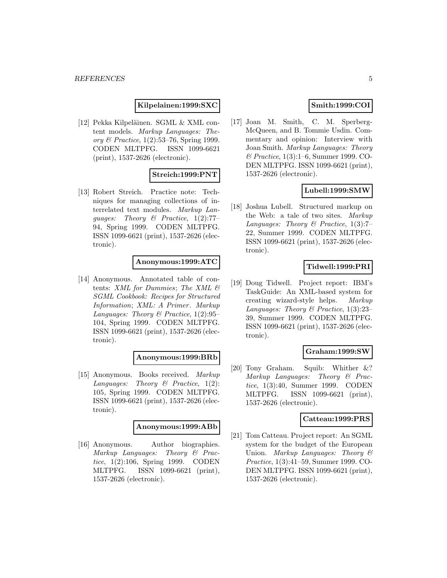**Kilpelainen:1999:SXC**

[12] Pekka Kilpeläinen. SGML & XML content models. Markup Languages: Theory & Practice, 1(2):53–76, Spring 1999. CODEN MLTPFG. ISSN 1099-6621 (print), 1537-2626 (electronic).

# **Streich:1999:PNT**

[13] Robert Streich. Practice note: Techniques for managing collections of interrelated text modules. Markup Languages: Theory & Practice,  $1(2)$ :77-94, Spring 1999. CODEN MLTPFG. ISSN 1099-6621 (print), 1537-2626 (electronic).

## **Anonymous:1999:ATC**

[14] Anonymous. Annotated table of contents: XML for Dummies; The XML & SGML Cookbook: Recipes for Structured Information; XML: A Primer. Markup Languages: Theory & Practice,  $1(2):95-$ 104, Spring 1999. CODEN MLTPFG. ISSN 1099-6621 (print), 1537-2626 (electronic).

# **Anonymous:1999:BRb**

[15] Anonymous. Books received. Markup Languages: Theory  $\mathcal B$  Practice, 1(2): 105, Spring 1999. CODEN MLTPFG. ISSN 1099-6621 (print), 1537-2626 (electronic).

#### **Anonymous:1999:ABb**

[16] Anonymous. Author biographies. Markup Languages: Theory & Practice, 1(2):106, Spring 1999. CODEN MLTPFG. ISSN 1099-6621 (print), 1537-2626 (electronic).

# **Smith:1999:COI**

[17] Joan M. Smith, C. M. Sperberg-McQueen, and B. Tommie Usdin. Commentary and opinion: Interview with Joan Smith. Markup Languages: Theory & Practice, 1(3):1–6, Summer 1999. CO-DEN MLTPFG. ISSN 1099-6621 (print), 1537-2626 (electronic).

# **Lubell:1999:SMW**

[18] Joshua Lubell. Structured markup on the Web: a tale of two sites. Markup Languages: Theory & Practice,  $1(3)$ :7-22, Summer 1999. CODEN MLTPFG. ISSN 1099-6621 (print), 1537-2626 (electronic).

# **Tidwell:1999:PRI**

[19] Doug Tidwell. Project report: IBM's TaskGuide: An XML-based system for creating wizard-style helps. Markup Languages: Theory & Practice, 1(3):23– 39, Summer 1999. CODEN MLTPFG. ISSN 1099-6621 (print), 1537-2626 (electronic).

# **Graham:1999:SW**

[20] Tony Graham. Squib: Whither &? Markup Languages: Theory & Practice, 1(3):40, Summer 1999. CODEN MLTPFG. ISSN 1099-6621 (print), 1537-2626 (electronic).

#### **Catteau:1999:PRS**

[21] Tom Catteau. Project report: An SGML system for the budget of the European Union. Markup Languages: Theory & Practice, 1(3):41–59, Summer 1999. CO-DEN MLTPFG. ISSN 1099-6621 (print), 1537-2626 (electronic).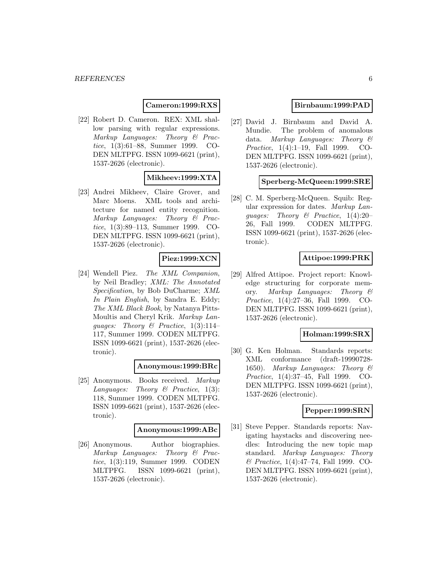## **Cameron:1999:RXS**

[22] Robert D. Cameron. REX: XML shallow parsing with regular expressions. Markup Languages: Theory & Practice, 1(3):61–88, Summer 1999. CO-DEN MLTPFG. ISSN 1099-6621 (print), 1537-2626 (electronic).

# **Mikheev:1999:XTA**

[23] Andrei Mikheev, Claire Grover, and Marc Moens. XML tools and architecture for named entity recognition. Markup Languages: Theory & Practice, 1(3):89–113, Summer 1999. CO-DEN MLTPFG. ISSN 1099-6621 (print), 1537-2626 (electronic).

## **Piez:1999:XCN**

[24] Wendell Piez. The XML Companion, by Neil Bradley; XML: The Annotated Specification, by Bob DuCharme; XML In Plain English, by Sandra E. Eddy; The XML Black Book, by Natanya Pitts-Moultis and Cheryl Krik. Markup Lanquages: Theory & Practice,  $1(3):114-$ 117, Summer 1999. CODEN MLTPFG. ISSN 1099-6621 (print), 1537-2626 (electronic).

#### **Anonymous:1999:BRc**

[25] Anonymous. Books received. Markup Languages: Theory  $\mathcal B$  Practice, 1(3): 118, Summer 1999. CODEN MLTPFG. ISSN 1099-6621 (print), 1537-2626 (electronic).

#### **Anonymous:1999:ABc**

[26] Anonymous. Author biographies. Markup Languages: Theory & Practice, 1(3):119, Summer 1999. CODEN MLTPFG. ISSN 1099-6621 (print), 1537-2626 (electronic).

## **Birnbaum:1999:PAD**

[27] David J. Birnbaum and David A. Mundie. The problem of anomalous data. Markup Languages: Theory & Practice, 1(4):1–19, Fall 1999. CO-DEN MLTPFG. ISSN 1099-6621 (print), 1537-2626 (electronic).

# **Sperberg-McQueen:1999:SRE**

[28] C. M. Sperberg-McQueen. Squib: Regular expression for dates. Markup Languages: Theory & Practice, 1(4):20– 26, Fall 1999. CODEN MLTPFG. ISSN 1099-6621 (print), 1537-2626 (electronic).

## **Attipoe:1999:PRK**

[29] Alfred Attipoe. Project report: Knowledge structuring for corporate memory. Markup Languages: Theory & Practice, 1(4):27–36, Fall 1999. CO-DEN MLTPFG. ISSN 1099-6621 (print), 1537-2626 (electronic).

#### **Holman:1999:SRX**

[30] G. Ken Holman. Standards reports: XML conformance (draft-19990728- 1650). Markup Languages: Theory & Practice, 1(4):37–45, Fall 1999. CO-DEN MLTPFG. ISSN 1099-6621 (print), 1537-2626 (electronic).

## **Pepper:1999:SRN**

[31] Steve Pepper. Standards reports: Navigating haystacks and discovering needles: Introducing the new topic map standard. Markup Languages: Theory & Practice, 1(4):47–74, Fall 1999. CO-DEN MLTPFG. ISSN 1099-6621 (print), 1537-2626 (electronic).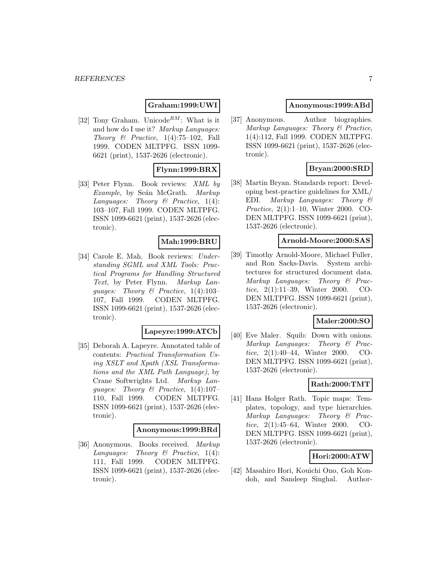# **Graham:1999:UWI**

[32] Tony Graham. Unicode<sup>RM</sup>: What is it and how do I use it? Markup Languages: Theory  $\mathcal{B}$  Practice, 1(4):75-102, Fall 1999. CODEN MLTPFG. ISSN 1099- 6621 (print), 1537-2626 (electronic).

# **Flynn:1999:BRX**

[33] Peter Flynn. Book reviews: XML by Example, by Seán McGrath. Markup Languages: Theory  $\mathcal B$  Practice, 1(4): 103–107, Fall 1999. CODEN MLTPFG. ISSN 1099-6621 (print), 1537-2626 (electronic).

# **Mah:1999:BRU**

[34] Carole E. Mah. Book reviews: Understanding SGML and XML Tools: Practical Programs for Handling Structured Text, by Peter Flynn. Markup Lanquages: Theory  $\mathcal B$  Practice, 1(4):103-107, Fall 1999. CODEN MLTPFG. ISSN 1099-6621 (print), 1537-2626 (electronic).

# **Lapeyre:1999:ATCb**

[35] Deborah A. Lapeyre. Annotated table of contents: Practical Transformation Using XSLT and Xpath (XSL Transformations and the XML Path Language), by Crane Softwrights Ltd. Markup Languages: Theory & Practice, 1(4):107– 110, Fall 1999. CODEN MLTPFG. ISSN 1099-6621 (print), 1537-2626 (electronic).

#### **Anonymous:1999:BRd**

[36] Anonymous. Books received. Markup Languages: Theory  $\mathcal B$  Practice, 1(4): 111, Fall 1999. CODEN MLTPFG. ISSN 1099-6621 (print), 1537-2626 (electronic).

## **Anonymous:1999:ABd**

[37] Anonymous. Author biographies. Markup Languages: Theory & Practice, 1(4):112, Fall 1999. CODEN MLTPFG. ISSN 1099-6621 (print), 1537-2626 (electronic).

## **Bryan:2000:SRD**

[38] Martin Bryan. Standards report: Developing best-practice guidelines for XML/ EDI. Markup Languages: Theory & Practice, 2(1):1–10, Winter 2000. CO-DEN MLTPFG. ISSN 1099-6621 (print), 1537-2626 (electronic).

#### **Arnold-Moore:2000:SAS**

[39] Timothy Arnold-Moore, Michael Fuller, and Ron Sacks-Davis. System architectures for structured document data. Markup Languages: Theory & Practice, 2(1):11–39, Winter 2000. CO-DEN MLTPFG. ISSN 1099-6621 (print), 1537-2626 (electronic).

# **Maler:2000:SO**

[40] Eve Maler. Squib: Down with onions. Markup Languages: Theory & Practice, 2(1):40–44, Winter 2000. CO-DEN MLTPFG. ISSN 1099-6621 (print), 1537-2626 (electronic).

# **Rath:2000:TMT**

[41] Hans Holger Rath. Topic maps: Templates, topology, and type hierarchies. Markup Languages: Theory & Practice, 2(1):45–64, Winter 2000. CO-DEN MLTPFG. ISSN 1099-6621 (print), 1537-2626 (electronic).

# **Hori:2000:ATW**

[42] Masahiro Hori, Kouichi Ono, Goh Kondoh, and Sandeep Singhal. Author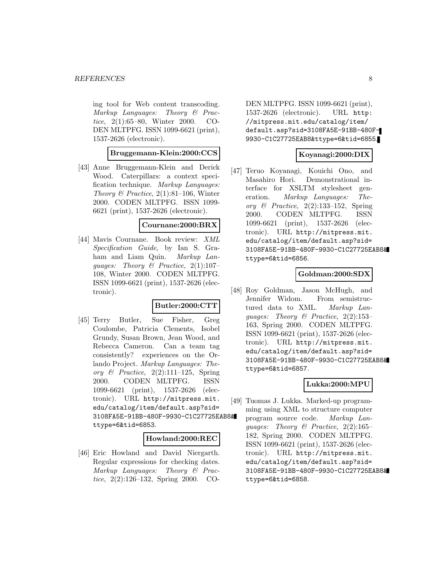ing tool for Web content transcoding. Markup Languages: Theory & Practice, 2(1):65–80, Winter 2000. CO-DEN MLTPFG. ISSN 1099-6621 (print), 1537-2626 (electronic).

# **Bruggemann-Klein:2000:CCS**

[43] Anne Bruggemann-Klein and Derick Wood. Caterpillars: a context specification technique. Markup Languages: Theory & Practice,  $2(1):81-106$ , Winter 2000. CODEN MLTPFG. ISSN 1099- 6621 (print), 1537-2626 (electronic).

#### **Cournane:2000:BRX**

[44] Mavis Cournane. Book review: XML Specification Guide, by Ian S. Graham and Liam Quin. Markup Languages: Theory & Practice,  $2(1):107-$ 108, Winter 2000. CODEN MLTPFG. ISSN 1099-6621 (print), 1537-2626 (electronic).

#### **Butler:2000:CTT**

[45] Terry Butler, Sue Fisher, Greg Coulombe, Patricia Clements, Isobel Grundy, Susan Brown, Jean Wood, and Rebecca Cameron. Can a team tag consistently? experiences on the Orlando Project. Markup Languages: Theory  $\mathcal C$  Practice, 2(2):111-125, Spring 2000. CODEN MLTPFG. ISSN 1099-6621 (print), 1537-2626 (electronic). URL http://mitpress.mit. edu/catalog/item/default.asp?sid= 3108FA5E-91BB-480F-9930-C1C27725EAB8& ttype=6&tid=6853.

#### **Howland:2000:REC**

[46] Eric Howland and David Niergarth. Regular expressions for checking dates. Markup Languages: Theory & Practice, 2(2):126–132, Spring 2000. CO-

DEN MLTPFG. ISSN 1099-6621 (print), 1537-2626 (electronic). URL http: //mitpress.mit.edu/catalog/item/ default.asp?sid=3108FA5E-91BB-480F-9930-C1C27725EAB8&ttype=6&tid=6855.

#### **Koyanagi:2000:DIX**

[47] Teruo Koyanagi, Kouichi Ono, and Masahiro Hori. Demonstrational interface for XSLTM stylesheet generation. Markup Languages: Theory  $\mathcal{B}$  Practice, 2(2):133–152, Spring 2000. CODEN MLTPFG. ISSN 1099-6621 (print), 1537-2626 (electronic). URL http://mitpress.mit. edu/catalog/item/default.asp?sid= 3108FA5E-91BB-480F-9930-C1C27725EAB8& ttype=6&tid=6856.

## **Goldman:2000:SDX**

[48] Roy Goldman, Jason McHugh, and Jennifer Widom. From semistructured data to XML. Markup Languages: Theory & Practice, 2(2):153– 163, Spring 2000. CODEN MLTPFG. ISSN 1099-6621 (print), 1537-2626 (electronic). URL http://mitpress.mit. edu/catalog/item/default.asp?sid= 3108FA5E-91BB-480F-9930-C1C27725EAB8& ttype=6&tid=6857.

# **Lukka:2000:MPU**

[49] Tuomas J. Lukka. Marked-up programming using XML to structure computer program source code. Markup Languages: Theory & Practice, 2(2):165– 182, Spring 2000. CODEN MLTPFG. ISSN 1099-6621 (print), 1537-2626 (electronic). URL http://mitpress.mit. edu/catalog/item/default.asp?sid= 3108FA5E-91BB-480F-9930-C1C27725EAB8& ttype=6&tid=6858.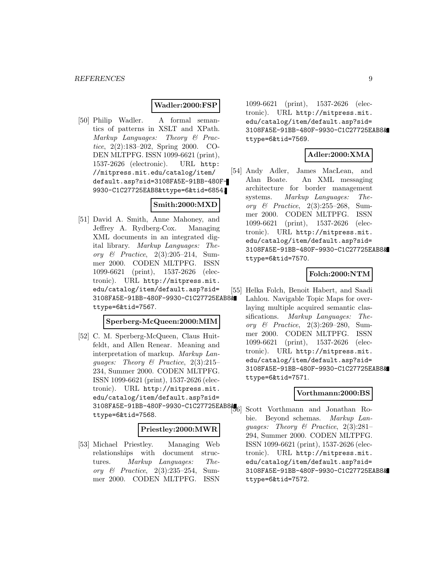## **Wadler:2000:FSP**

[50] Philip Wadler. A formal semantics of patterns in XSLT and XPath. Markup Languages: Theory & Practice, 2(2):183–202, Spring 2000. CO-DEN MLTPFG. ISSN 1099-6621 (print), 1537-2626 (electronic). URL http: //mitpress.mit.edu/catalog/item/ default.asp?sid=3108FA5E-91BB-480F-9930-C1C27725EAB8&ttype=6&tid=6854.

# **Smith:2000:MXD**

[51] David A. Smith, Anne Mahoney, and Jeffrey A. Rydberg-Cox. Managing XML documents in an integrated digital library. Markup Languages: Theory & Practice, 2(3):205–214, Summer 2000. CODEN MLTPFG. ISSN 1099-6621 (print), 1537-2626 (electronic). URL http://mitpress.mit. edu/catalog/item/default.asp?sid= 3108FA5E-91BB-480F-9930-C1C27725EAB8& ttype=6&tid=7567.

#### **Sperberg-McQueen:2000:MIM**

[52] C. M. Sperberg-McQueen, Claus Huitfeldt, and Allen Renear. Meaning and interpretation of markup. Markup Languages: Theory & Practice, 2(3):215– 234, Summer 2000. CODEN MLTPFG. ISSN 1099-6621 (print), 1537-2626 (electronic). URL http://mitpress.mit. edu/catalog/item/default.asp?sid= 3108FA5E-91BB-480F-9930-C1C27725EAB8& ttype=6&tid=7568.

#### **Priestley:2000:MWR**

[53] Michael Priestley. Managing Web relationships with document structures. Markup Languages: Theory & Practice, 2(3):235–254, Summer 2000. CODEN MLTPFG. ISSN

1099-6621 (print), 1537-2626 (electronic). URL http://mitpress.mit. edu/catalog/item/default.asp?sid= 3108FA5E-91BB-480F-9930-C1C27725EAB8& ttype=6&tid=7569.

#### **Adler:2000:XMA**

[54] Andy Adler, James MacLean, and Alan Boate. An XML messaging architecture for border management systems. Markup Languages: Theory & Practice, 2(3):255–268, Summer 2000. CODEN MLTPFG. ISSN 1099-6621 (print), 1537-2626 (electronic). URL http://mitpress.mit. edu/catalog/item/default.asp?sid= 3108FA5E-91BB-480F-9930-C1C27725EAB8& ttype=6&tid=7570.

#### **Folch:2000:NTM**

[55] Helka Folch, Benoit Habert, and Saadi Lahlou. Navigable Topic Maps for overlaying multiple acquired semantic classifications. Markup Languages: Theory & Practice, 2(3):269–280, Summer 2000. CODEN MLTPFG. ISSN 1099-6621 (print), 1537-2626 (electronic). URL http://mitpress.mit. edu/catalog/item/default.asp?sid= 3108FA5E-91BB-480F-9930-C1C27725EAB8& ttype=6&tid=7571.

#### **Vorthmann:2000:BS**

Scott Vorthmann and Jonathan Robie. Beyond schemas. Markup Languages: Theory & Practice, 2(3):281– 294, Summer 2000. CODEN MLTPFG. ISSN 1099-6621 (print), 1537-2626 (electronic). URL http://mitpress.mit. edu/catalog/item/default.asp?sid= 3108FA5E-91BB-480F-9930-C1C27725EAB8& ttype=6&tid=7572.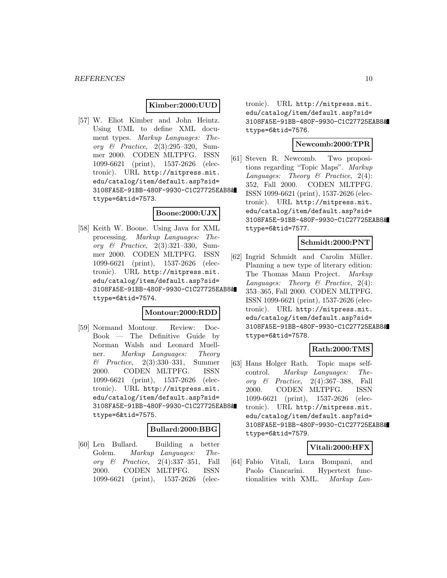#### **Kimber:2000:UUD**

[57] W. Eliot Kimber and John Heintz. Using UML to define XML document types. Markup Languages: Theory & Practice, 2(3):295–320, Summer 2000. CODEN MLTPFG. ISSN 1099-6621 (print), 1537-2626 (electronic). URL http://mitpress.mit. edu/catalog/item/default.asp?sid= 3108FA5E-91BB-480F-9930-C1C27725EAB8& ttype=6&tid=7573.

# **Boone:2000:UJX**

[58] Keith W. Boone. Using Java for XML processing. Markup Languages: Theory & Practice, 2(3):321–330, Summer 2000. CODEN MLTPFG. ISSN 1099-6621 (print), 1537-2626 (electronic). URL http://mitpress.mit. edu/catalog/item/default.asp?sid= 3108FA5E-91BB-480F-9930-C1C27725EAB8& ttype=6&tid=7574.

# **Montour:2000:RDD**

[59] Normand Montour. Review: Doc-Book — The Definitive Guide by Norman Walsh and Leonard Muellner. Markup Languages: Theory & Practice, 2(3):330–331, Summer 2000. CODEN MLTPFG. ISSN 1099-6621 (print), 1537-2626 (electronic). URL http://mitpress.mit. edu/catalog/item/default.asp?sid= 3108FA5E-91BB-480F-9930-C1C27725EAB8& ttype=6&tid=7575.

#### **Bullard:2000:BBG**

[60] Len Bullard. Building a better Golem. Markup Languages: Theory & Practice, 2(4):337–351, Fall 2000. CODEN MLTPFG. ISSN 1099-6621 (print), 1537-2626 (electronic). URL http://mitpress.mit. edu/catalog/item/default.asp?sid= 3108FA5E-91BB-480F-9930-C1C27725EAB8& ttype=6&tid=7576.

# **Newcomb:2000:TPR**

[61] Steven R. Newcomb. Two propositions regarding "Topic Maps". Markup Languages: Theory  $\mathcal B$  Practice, 2(4): 352, Fall 2000. CODEN MLTPFG. ISSN 1099-6621 (print), 1537-2626 (electronic). URL http://mitpress.mit. edu/catalog/item/default.asp?sid= 3108FA5E-91BB-480F-9930-C1C27725EAB8& ttype=6&tid=7577.

#### **Schmidt:2000:PNT**

[62] Ingrid Schmidt and Carolin Müller. Planning a new type of literary edition: The Thomas Mann Project. Markup Languages: Theory  $\mathcal B$  Practice, 2(4): 353–365, Fall 2000. CODEN MLTPFG. ISSN 1099-6621 (print), 1537-2626 (electronic). URL http://mitpress.mit. edu/catalog/item/default.asp?sid= 3108FA5E-91BB-480F-9930-C1C27725EAB8& ttype=6&tid=7578.

# **Rath:2000:TMS**

[63] Hans Holger Rath. Topic maps selfcontrol. Markup Languages: Theory  $\&$  Practice, 2(4):367–388, Fall 2000. CODEN MLTPFG. ISSN 1099-6621 (print), 1537-2626 (electronic). URL http://mitpress.mit. edu/catalog/item/default.asp?sid= 3108FA5E-91BB-480F-9930-C1C27725EAB8& ttype=6&tid=7579.

## **Vitali:2000:HFX**

[64] Fabio Vitali, Luca Bompani, and Paolo Ciancarini. Hypertext functionalities with XML. Markup Lan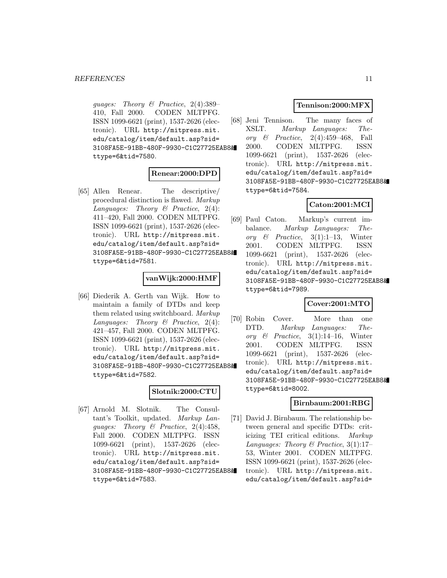guages: Theory & Practice, 2(4):389– 410, Fall 2000. CODEN MLTPFG. ISSN 1099-6621 (print), 1537-2626 (electronic). URL http://mitpress.mit. edu/catalog/item/default.asp?sid= 3108FA5E-91BB-480F-9930-C1C27725EAB8& ttype=6&tid=7580.

#### **Renear:2000:DPD**

[65] Allen Renear. The descriptive/ procedural distinction is flawed. Markup Languages: Theory  $\mathcal B$  Practice, 2(4): 411–420, Fall 2000. CODEN MLTPFG. ISSN 1099-6621 (print), 1537-2626 (electronic). URL http://mitpress.mit. edu/catalog/item/default.asp?sid= 3108FA5E-91BB-480F-9930-C1C27725EAB8& ttype=6&tid=7581.

#### **vanWijk:2000:HMF**

[66] Diederik A. Gerth van Wijk. How to maintain a family of DTDs and keep them related using switchboard. Markup Languages: Theory  $\mathcal B$  Practice, 2(4): 421–457, Fall 2000. CODEN MLTPFG. ISSN 1099-6621 (print), 1537-2626 (electronic). URL http://mitpress.mit. edu/catalog/item/default.asp?sid= 3108FA5E-91BB-480F-9930-C1C27725EAB8& ttype=6&tid=7582.

#### **Slotnik:2000:CTU**

[67] Arnold M. Slotnik. The Consultant's Toolkit, updated. Markup Languages: Theory & Practice, 2(4):458, Fall 2000. CODEN MLTPFG. ISSN 1099-6621 (print), 1537-2626 (electronic). URL http://mitpress.mit. edu/catalog/item/default.asp?sid= 3108FA5E-91BB-480F-9930-C1C27725EAB8& ttype=6&tid=7583.

## **Tennison:2000:MFX**

[68] Jeni Tennison. The many faces of XSLT. Markup Languages: Theory  $\&$  Practice, 2(4):459–468, Fall 2000. CODEN MLTPFG. ISSN 1099-6621 (print), 1537-2626 (electronic). URL http://mitpress.mit. edu/catalog/item/default.asp?sid= 3108FA5E-91BB-480F-9930-C1C27725EAB8& ttype=6&tid=7584.

# **Caton:2001:MCI**

[69] Paul Caton. Markup's current imbalance. Markup Languages: Theory  $\mathcal{B}$  Practice, 3(1):1–13, Winter 2001. CODEN MLTPFG. ISSN 1099-6621 (print), 1537-2626 (electronic). URL http://mitpress.mit. edu/catalog/item/default.asp?sid= 3108FA5E-91BB-480F-9930-C1C27725EAB8& ttype=6&tid=7989.

#### **Cover:2001:MTO**

[70] Robin Cover. More than one DTD. Markup Languages: Theory  $\&$  Practice, 3(1):14–16, Winter 2001. CODEN MLTPFG. ISSN 1099-6621 (print), 1537-2626 (electronic). URL http://mitpress.mit. edu/catalog/item/default.asp?sid= 3108FA5E-91BB-480F-9930-C1C27725EAB8& ttype=6&tid=8002.

#### **Birnbaum:2001:RBG**

[71] David J. Birnbaum. The relationship between general and specific DTDs: criticizing TEI critical editions. Markup Languages: Theory & Practice,  $3(1):17-$ 53, Winter 2001. CODEN MLTPFG. ISSN 1099-6621 (print), 1537-2626 (electronic). URL http://mitpress.mit. edu/catalog/item/default.asp?sid=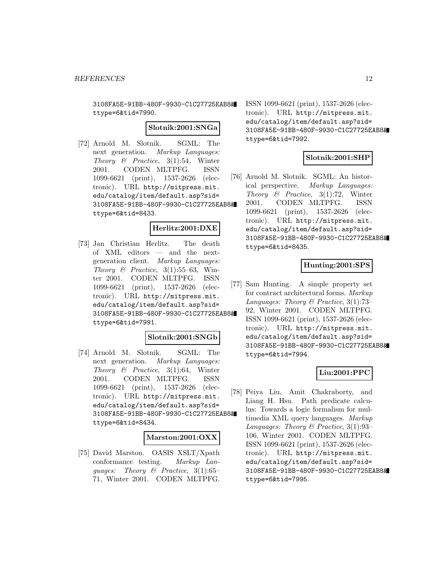3108FA5E-91BB-480F-9930-C1C27725EAB8& ttype=6&tid=7990.

#### **Slotnik:2001:SNGa**

[72] Arnold M. Slotnik. SGML: The next generation. Markup Languages: Theory & Practice,  $3(1):54$ , Winter 2001. CODEN MLTPFG. ISSN 1099-6621 (print), 1537-2626 (electronic). URL http://mitpress.mit. edu/catalog/item/default.asp?sid= 3108FA5E-91BB-480F-9930-C1C27725EAB8& ttype=6&tid=8433.

# **Herlitz:2001:DXE**

[73] Jan Christian Herlitz. The death of XML editors — and the nextgeneration client. Markup Languages: Theory  $\mathcal B$  Practice, 3(1):55–63, Winter 2001. CODEN MLTPFG. ISSN 1099-6621 (print), 1537-2626 (electronic). URL http://mitpress.mit. edu/catalog/item/default.asp?sid= 3108FA5E-91BB-480F-9930-C1C27725EAB8& ttype=6&tid=7991.

## **Slotnik:2001:SNGb**

[74] Arnold M. Slotnik. SGML: The next generation. Markup Languages: Theory & Practice,  $3(1):64$ , Winter 2001. CODEN MLTPFG. ISSN 1099-6621 (print), 1537-2626 (electronic). URL http://mitpress.mit. edu/catalog/item/default.asp?sid= 3108FA5E-91BB-480F-9930-C1C27725EAB8& ttype=6&tid=8434.

#### **Marston:2001:OXX**

[75] David Marston. OASIS XSLT/Xpath conformance testing. Markup Languages: Theory & Practice,  $3(1):65-$ 71, Winter 2001. CODEN MLTPFG.

ISSN 1099-6621 (print), 1537-2626 (electronic). URL http://mitpress.mit. edu/catalog/item/default.asp?sid= 3108FA5E-91BB-480F-9930-C1C27725EAB8& ttype=6&tid=7992.

## **Slotnik:2001:SHP**

[76] Arnold M. Slotnik. SGML: An historical perspective. Markup Languages: Theory  $\mathcal{B}$  Practice, 3(1):72, Winter 2001. CODEN MLTPFG. ISSN 1099-6621 (print), 1537-2626 (electronic). URL http://mitpress.mit. edu/catalog/item/default.asp?sid= 3108FA5E-91BB-480F-9930-C1C27725EAB8& ttype=6&tid=8435.

# **Hunting:2001:SPS**

[77] Sam Hunting. A simple property set for contract architectural forms. Markup Languages: Theory & Practice, 3(1):73– 92, Winter 2001. CODEN MLTPFG. ISSN 1099-6621 (print), 1537-2626 (electronic). URL http://mitpress.mit. edu/catalog/item/default.asp?sid= 3108FA5E-91BB-480F-9930-C1C27725EAB8& ttype=6&tid=7994.

# **Liu:2001:PPC**

[78] Peiya Liu, Amit Chakraborty, and Liang H. Hsu. Path predicate calculus: Towards a logic formalism for multimedia XML query languages. Markup Languages: Theory & Practice, 3(1):93– 106, Winter 2001. CODEN MLTPFG. ISSN 1099-6621 (print), 1537-2626 (electronic). URL http://mitpress.mit. edu/catalog/item/default.asp?sid= 3108FA5E-91BB-480F-9930-C1C27725EAB8& ttype=6&tid=7995.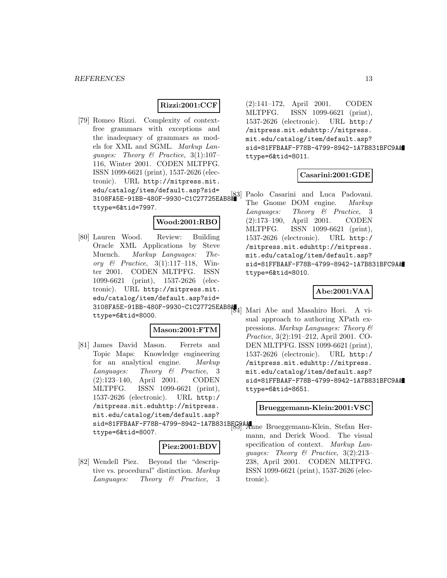#### **Rizzi:2001:CCF**

[79] Romeo Rizzi. Complexity of contextfree grammars with exceptions and the inadequacy of grammars as models for XML and SGML. Markup Languages: Theory & Practice, 3(1):107– 116, Winter 2001. CODEN MLTPFG. ISSN 1099-6621 (print), 1537-2626 (electronic). URL http://mitpress.mit. edu/catalog/item/default.asp?sid= 3108FA5E-91BB-480F-9930-C1C27725EAB8& ttype=6&tid=7997.

#### **Wood:2001:RBO**

[80] Lauren Wood. Review: Building Oracle XML Applications by Steve Muench. Markup Languages: Theory  $\mathcal{B}$  Practice, 3(1):117–118, Winter 2001. CODEN MLTPFG. ISSN 1099-6621 (print), 1537-2626 (electronic). URL http://mitpress.mit. edu/catalog/item/default.asp?sid= 3108FA5E-91BB-480F-9930-C1C27725EAB8& [84] Mari Abe and Masahiro Hori. A vittype=6&tid=8000.

#### **Mason:2001:FTM**

[81] James David Mason. Ferrets and Topic Maps: Knowledge engineering for an analytical engine. Markup Languages: Theory & Practice, 3 (2):123–140, April 2001. CODEN MLTPFG. ISSN 1099-6621 (print), 1537-2626 (electronic). URL http:/ /mitpress.mit.eduhttp://mitpress. mit.edu/catalog/item/default.asp? sid=81FFBAAF-F78B-4799-8942-1A7B831BFC9A& [85] Anne Brueggemann-Klein, Stefan Her-

ttype=6&tid=8007.

#### **Piez:2001:BDV**

[82] Wendell Piez. Beyond the "descriptive vs. procedural" distinction. Markup Languages: Theory & Practice, 3 (2):141–172, April 2001. CODEN MLTPFG. ISSN 1099-6621 (print), 1537-2626 (electronic). URL http:/ /mitpress.mit.eduhttp://mitpress. mit.edu/catalog/item/default.asp? sid=81FFBAAF-F78B-4799-8942-1A7B831BFC9A& ttype=6&tid=8011.

## **Casarini:2001:GDE**

Paolo Casarini and Luca Padovani. The Gnome DOM engine. Markup Languages: Theory & Practice, 3 (2):173–190, April 2001. CODEN MLTPFG. ISSN 1099-6621 (print), 1537-2626 (electronic). URL http:/ /mitpress.mit.eduhttp://mitpress. mit.edu/catalog/item/default.asp? sid=81FFBAAF-F78B-4799-8942-1A7B831BFC9A& ttype=6&tid=8010.

## **Abe:2001:VAA**

sual approach to authoring XPath expressions. Markup Languages: Theory & Practice, 3(2):191–212, April 2001. CO-DEN MLTPFG. ISSN 1099-6621 (print), 1537-2626 (electronic). URL http:/ /mitpress.mit.eduhttp://mitpress. mit.edu/catalog/item/default.asp? sid=81FFBAAF-F78B-4799-8942-1A7B831BFC9A& ttype=6&tid=8651.

#### **Brueggemann-Klein:2001:VSC**

mann, and Derick Wood. The visual specification of context. Markup Languages: Theory & Practice, 3(2):213– 238, April 2001. CODEN MLTPFG. ISSN 1099-6621 (print), 1537-2626 (electronic).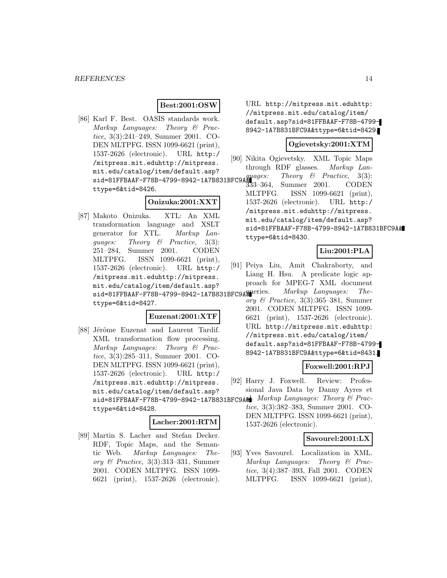# **Best:2001:OSW**

[86] Karl F. Best. OASIS standards work. Markup Languages: Theory & Practice, 3(3):241–249, Summer 2001. CO-DEN MLTPFG. ISSN 1099-6621 (print), 1537-2626 (electronic). URL http:/ /mitpress.mit.eduhttp://mitpress. mit.edu/catalog/item/default.asp?  $sid=81FFBAAF-F78B-4799-8942-1ATB831BFC9A<sup>quages.</sup>$ ttype=6&tid=8426.

# **Onizuka:2001:XXT**

[87] Makoto Onizuka. XTL: An XML transformation language and XSLT generator for XTL. Markup Languages: Theory & Practice, 3(3): 251–284, Summer 2001. CODEN MLTPFG. ISSN 1099-6621 (print), 1537-2626 (electronic). URL http:/ /mitpress.mit.eduhttp://mitpress. mit.edu/catalog/item/default.asp? sid=81FFBAAF-F78B-4799-8942-1A7B831BFC9A& ttype=6&tid=8427.

#### **Euzenat:2001:XTF**

[88] Jérôme Euzenat and Laurent Tardif. XML transformation flow processing. Markup Languages: Theory & Practice, 3(3):285–311, Summer 2001. CO-DEN MLTPFG. ISSN 1099-6621 (print), 1537-2626 (electronic). URL http:/ /mitpress.mit.eduhttp://mitpress. mit.edu/catalog/item/default.asp? sid=81FFBAAF-F78B-4799-8942-1A7B831BFC9AM. Markup Languages: Theory & Practtype=6&tid=8428.

#### **Lacher:2001:RTM**

[89] Martin S. Lacher and Stefan Decker. RDF, Topic Maps, and the Semantic Web. Markup Languages: Theory & Practice, 3(3):313–331, Summer 2001. CODEN MLTPFG. ISSN 1099- 6621 (print), 1537-2626 (electronic).

URL http://mitpress.mit.eduhttp: //mitpress.mit.edu/catalog/item/ default.asp?sid=81FFBAAF-F78B-4799- 8942-1A7B831BFC9A&ttype=6&tid=8429.

# **Ogievetsky:2001:XTM**

- [90] Nikita Ogievetsky. XML Topic Maps through RDF glasses. Markup Lan-
- Theory  $\mathcal{B}$  Practice, 3(3): Summer 2001. CODEN MLTPFG. ISSN 1099-6621 (print), 1537-2626 (electronic). URL http:/ /mitpress.mit.eduhttp://mitpress. mit.edu/catalog/item/default.asp? sid=81FFBAAF-F78B-4799-8942-1A7B831BFC9A& ttype=6&tid=8430.

#### **Liu:2001:PLA**

- [91] Peiya Liu, Amit Chakraborty, and Liang H. Hsu. A predicate logic approach for MPEG-7 XML document Markup Languages: The
	- ory  $\mathcal C$  Practice, 3(3):365–381, Summer 2001. CODEN MLTPFG. ISSN 1099- 6621 (print), 1537-2626 (electronic). URL http://mitpress.mit.eduhttp: //mitpress.mit.edu/catalog/item/ default.asp?sid=81FFBAAF-F78B-4799- 8942-1A7B831BFC9A&ttype=6&tid=8431.

#### **Foxwell:2001:RPJ**

- [92] Harry J. Foxwell. Review: Professional Java Data by Danny Ayres et
	- tice, 3(3):382–383, Summer 2001. CO-DEN MLTPFG. ISSN 1099-6621 (print), 1537-2626 (electronic).

#### **Savourel:2001:LX**

[93] Yves Savourel. Localization in XML. Markup Languages: Theory & Practice, 3(4):387–393, Fall 2001. CODEN MLTPFG. ISSN 1099-6621 (print),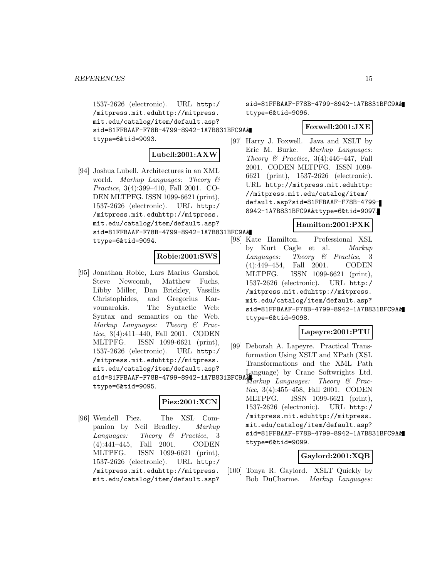1537-2626 (electronic). URL http:/ /mitpress.mit.eduhttp://mitpress. mit.edu/catalog/item/default.asp? sid=81FFBAAF-F78B-4799-8942-1A7B831BFC9A& ttype=6&tid=9093.

# **Lubell:2001:AXW**

[94] Joshua Lubell. Architectures in an XML world. Markup Languages: Theory & Practice, 3(4):399–410, Fall 2001. CO-DEN MLTPFG. ISSN 1099-6621 (print), 1537-2626 (electronic). URL http:/ /mitpress.mit.eduhttp://mitpress. mit.edu/catalog/item/default.asp? sid=81FFBAAF-F78B-4799-8942-1A7B831BFC9A& ttype=6&tid=9094.

# **Robie:2001:SWS**

[95] Jonathan Robie, Lars Marius Garshol, Steve Newcomb, Matthew Fuchs, Libby Miller, Dan Brickley, Vassilis Christophides, and Gregorius Karvounarakis. The Syntactic Web: Syntax and semantics on the Web. Markup Languages: Theory & Practice, 3(4):411–440, Fall 2001. CODEN MLTPFG. ISSN 1099-6621 (print), 1537-2626 (electronic). URL http:/ /mitpress.mit.eduhttp://mitpress. mit.edu/catalog/item/default.asp? ttype=6&tid=9095.

# **Piez:2001:XCN**

[96] Wendell Piez. The XSL Companion by Neil Bradley. Markup Languages: Theory & Practice, 3 (4):441–445, Fall 2001. CODEN MLTPFG. ISSN 1099-6621 (print), 1537-2626 (electronic). URL http:/ /mitpress.mit.eduhttp://mitpress. mit.edu/catalog/item/default.asp?

sid=81FFBAAF-F78B-4799-8942-1A7B831BFC9A& ttype=6&tid=9096.

# **Foxwell:2001:JXE**

[97] Harry J. Foxwell. Java and XSLT by Eric M. Burke. Markup Languages: Theory  $\mathcal B$  Practice, 3(4):446–447, Fall 2001. CODEN MLTPFG. ISSN 1099- 6621 (print), 1537-2626 (electronic). URL http://mitpress.mit.eduhttp: //mitpress.mit.edu/catalog/item/ default.asp?sid=81FFBAAF-F78B-4799- 8942-1A7B831BFC9A&ttype=6&tid=9097.

# **Hamilton:2001:PXK**

[98] Kate Hamilton. Professional XSL by Kurt Cagle et al. Markup Languages: Theory & Practice, 3 (4):449–454, Fall 2001. CODEN MLTPFG. ISSN 1099-6621 (print), 1537-2626 (electronic). URL http:/ /mitpress.mit.eduhttp://mitpress. mit.edu/catalog/item/default.asp? sid=81FFBAAF-F78B-4799-8942-1A7B831BFC9A& ttype=6&tid=9098.

# **Lapeyre:2001:PTU**

mit.edu/catalog/item/default.asp: Language) by Crane Softwrights Ltd.<br>sid=81FFBAAF-F78B-4799-8942-1A7B831BFC9A& arkun Language: Theory & Prac [99] Deborah A. Lapeyre. Practical Transformation Using XSLT and XPath (XSL Transformations and the XML Path Markup Languages: Theory & Practice, 3(4):455–458, Fall 2001. CODEN MLTPFG. ISSN 1099-6621 (print), 1537-2626 (electronic). URL http:/ /mitpress.mit.eduhttp://mitpress. mit.edu/catalog/item/default.asp? sid=81FFBAAF-F78B-4799-8942-1A7B831BFC9A& ttype=6&tid=9099.

# **Gaylord:2001:XQB**

[100] Tonya R. Gaylord. XSLT Quickly by Bob DuCharme. Markup Languages: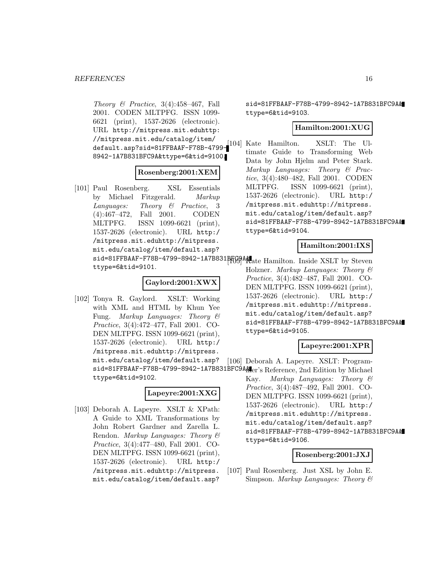Theory  $\mathcal B$  Practice, 3(4):458-467, Fall 2001. CODEN MLTPFG. ISSN 1099- 6621 (print), 1537-2626 (electronic). URL http://mitpress.mit.eduhttp: //mitpress.mit.edu/catalog/item/ default.asp?sid=81FFBAAF-F78B-4799- 8942-1A7B831BFC9A&ttype=6&tid=9100.

## **Rosenberg:2001:XEM**

- [101] Paul Rosenberg. XSL Essentials by Michael Fitzgerald. Markup Languages: Theory & Practice, 3 (4):467–472, Fall 2001. CODEN MLTPFG. ISSN 1099-6621 (print), 1537-2626 (electronic). URL http:/ /mitpress.mit.eduhttp://mitpress. mit.edu/catalog/item/default.asp?
	- sid=81FFBAAF-F78B-4799-8942-1A7B831BFC9AA ate Hamilton. Inside XSLT by Steven ttype=6&tid=9101.

## **Gaylord:2001:XWX**

[102] Tonya R. Gaylord. XSLT: Working with XML and HTML by Khun Yee Fung. Markup Languages: Theory & Practice, 3(4):472–477, Fall 2001. CO-DEN MLTPFG. ISSN 1099-6621 (print), 1537-2626 (electronic). URL http:/ /mitpress.mit.eduhttp://mitpress. mit.edu/catalog/item/default.asp?

ttype=6&tid=9102.

# **Lapeyre:2001:XXG**

[103] Deborah A. Lapeyre. XSLT & XPath: A Guide to XML Transformations by John Robert Gardner and Zarella L. Rendon. Markup Languages: Theory & Practice, 3(4):477–480, Fall 2001. CO-DEN MLTPFG. ISSN 1099-6621 (print), 1537-2626 (electronic). URL http:/ /mitpress.mit.eduhttp://mitpress. mit.edu/catalog/item/default.asp?

sid=81FFBAAF-F78B-4799-8942-1A7B831BFC9A& ttype=6&tid=9103.

# **Hamilton:2001:XUG**

[104] Kate Hamilton. XSLT: The Ultimate Guide to Transforming Web Data by John Hjelm and Peter Stark. Markup Languages: Theory & Practice, 3(4):480–482, Fall 2001. CODEN MLTPFG. ISSN 1099-6621 (print), 1537-2626 (electronic). URL http:/ /mitpress.mit.eduhttp://mitpress. mit.edu/catalog/item/default.asp? sid=81FFBAAF-F78B-4799-8942-1A7B831BFC9A& ttype=6&tid=9104.

#### **Hamilton:2001:IXS**

Holzner. Markup Languages: Theory & Practice, 3(4):482–487, Fall 2001. CO-DEN MLTPFG. ISSN 1099-6621 (print), 1537-2626 (electronic). URL http:/ /mitpress.mit.eduhttp://mitpress. mit.edu/catalog/item/default.asp? sid=81FFBAAF-F78B-4799-8942-1A7B831BFC9A& ttype=6&tid=9105.

#### **Lapeyre:2001:XPR**

sid=81FFBAAF-F78B-4799-8942-1A7B831BFC9A**A**er's Reference, 2nd Edition by Michael [106] Deborah A. Lapeyre. XSLT: Program-Kay. Markup Languages: Theory & Practice, 3(4):487–492, Fall 2001. CO-DEN MLTPFG. ISSN 1099-6621 (print), 1537-2626 (electronic). URL http:/ /mitpress.mit.eduhttp://mitpress. mit.edu/catalog/item/default.asp? sid=81FFBAAF-F78B-4799-8942-1A7B831BFC9A& ttype=6&tid=9106.

#### **Rosenberg:2001:JXJ**

[107] Paul Rosenberg. Just XSL by John E. Simpson. Markup Languages: Theory  $\mathcal B$